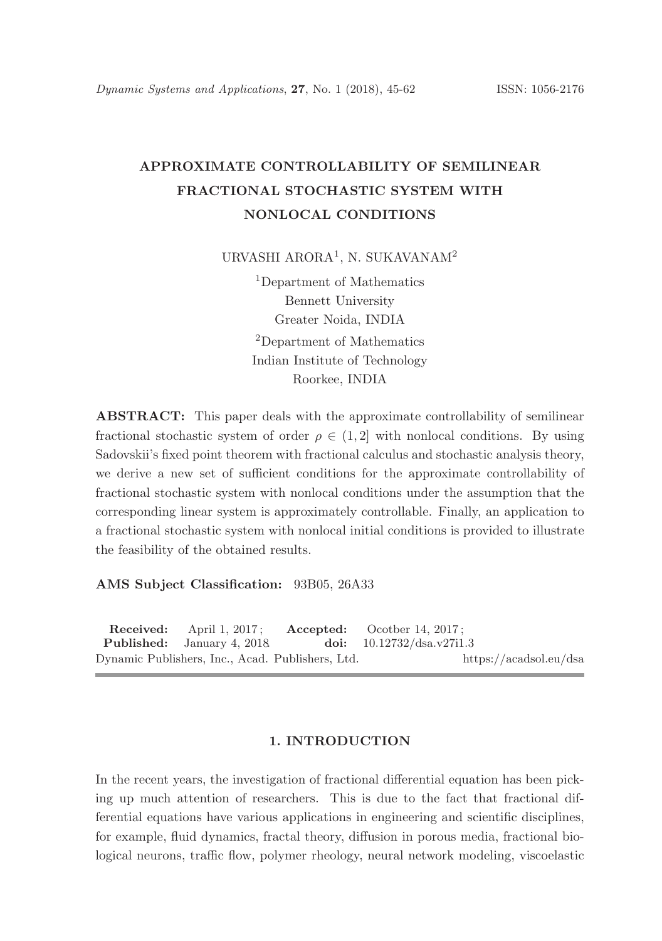# APPROXIMATE CONTROLLABILITY OF SEMILINEAR FRACTIONAL STOCHASTIC SYSTEM WITH NONLOCAL CONDITIONS

URVASHI ARORA<sup>1</sup>, N. SUKAVANAM<sup>2</sup>

<sup>1</sup>Department of Mathematics Bennett University Greater Noida, INDIA <sup>2</sup>Department of Mathematics Indian Institute of Technology Roorkee, INDIA

ABSTRACT: This paper deals with the approximate controllability of semilinear fractional stochastic system of order  $\rho \in (1, 2]$  with nonlocal conditions. By using Sadovskii's fixed point theorem with fractional calculus and stochastic analysis theory, we derive a new set of sufficient conditions for the approximate controllability of fractional stochastic system with nonlocal conditions under the assumption that the corresponding linear system is approximately controllable. Finally, an application to a fractional stochastic system with nonlocal initial conditions is provided to illustrate the feasibility of the obtained results.

AMS Subject Classification: 93B05, 26A33

Received: April 1, 2017; Accepted: Ocotber 14, 2017; Published: January 4, 2018. doi: 10.12732/dsa.v27i1.3 Dynamic Publishers, Inc., Acad. Publishers, Ltd. https://acadsol.eu/dsa

#### 1. INTRODUCTION

In the recent years, the investigation of fractional differential equation has been picking up much attention of researchers. This is due to the fact that fractional differential equations have various applications in engineering and scientific disciplines, for example, fluid dynamics, fractal theory, diffusion in porous media, fractional biological neurons, traffic flow, polymer rheology, neural network modeling, viscoelastic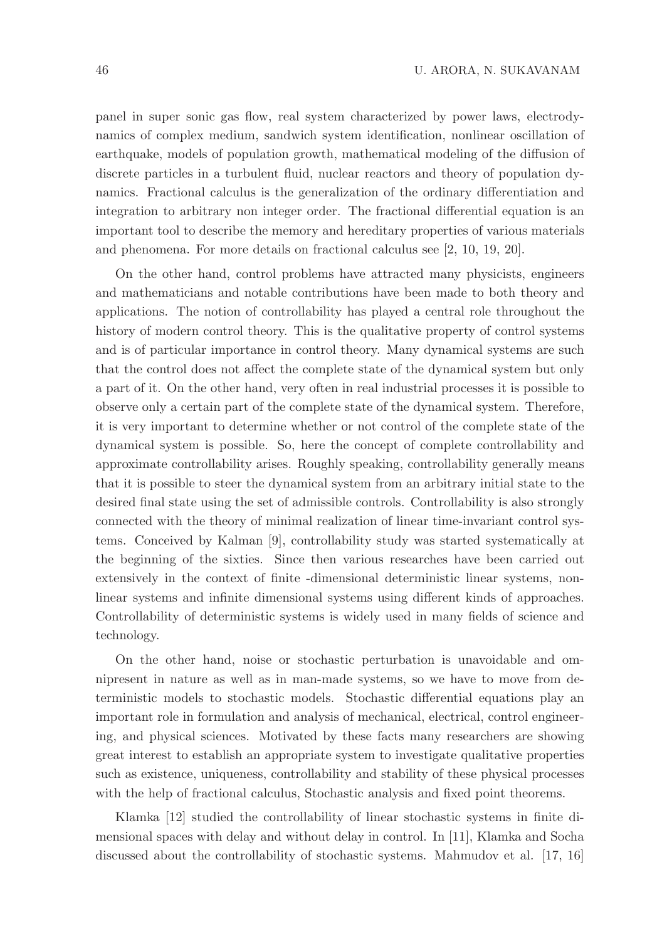panel in super sonic gas flow, real system characterized by power laws, electrodynamics of complex medium, sandwich system identification, nonlinear oscillation of earthquake, models of population growth, mathematical modeling of the diffusion of discrete particles in a turbulent fluid, nuclear reactors and theory of population dynamics. Fractional calculus is the generalization of the ordinary differentiation and integration to arbitrary non integer order. The fractional differential equation is an important tool to describe the memory and hereditary properties of various materials and phenomena. For more details on fractional calculus see [2, 10, 19, 20].

On the other hand, control problems have attracted many physicists, engineers and mathematicians and notable contributions have been made to both theory and applications. The notion of controllability has played a central role throughout the history of modern control theory. This is the qualitative property of control systems and is of particular importance in control theory. Many dynamical systems are such that the control does not affect the complete state of the dynamical system but only a part of it. On the other hand, very often in real industrial processes it is possible to observe only a certain part of the complete state of the dynamical system. Therefore, it is very important to determine whether or not control of the complete state of the dynamical system is possible. So, here the concept of complete controllability and approximate controllability arises. Roughly speaking, controllability generally means that it is possible to steer the dynamical system from an arbitrary initial state to the desired final state using the set of admissible controls. Controllability is also strongly connected with the theory of minimal realization of linear time-invariant control systems. Conceived by Kalman [9], controllability study was started systematically at the beginning of the sixties. Since then various researches have been carried out extensively in the context of finite -dimensional deterministic linear systems, nonlinear systems and infinite dimensional systems using different kinds of approaches. Controllability of deterministic systems is widely used in many fields of science and technology.

On the other hand, noise or stochastic perturbation is unavoidable and omnipresent in nature as well as in man-made systems, so we have to move from deterministic models to stochastic models. Stochastic differential equations play an important role in formulation and analysis of mechanical, electrical, control engineering, and physical sciences. Motivated by these facts many researchers are showing great interest to establish an appropriate system to investigate qualitative properties such as existence, uniqueness, controllability and stability of these physical processes with the help of fractional calculus, Stochastic analysis and fixed point theorems.

Klamka [12] studied the controllability of linear stochastic systems in finite dimensional spaces with delay and without delay in control. In [11], Klamka and Socha discussed about the controllability of stochastic systems. Mahmudov et al. [17, 16]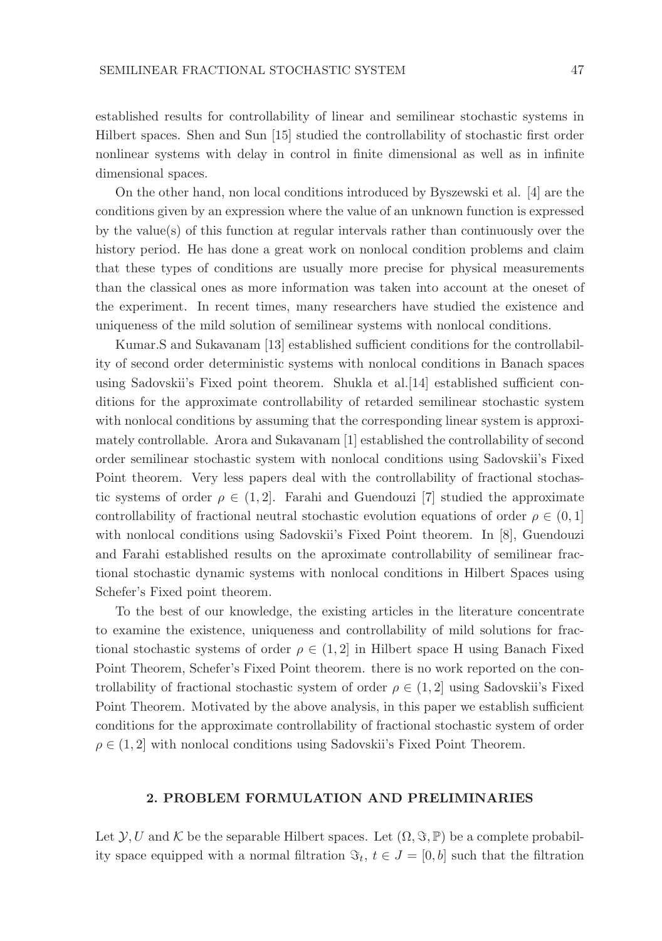established results for controllability of linear and semilinear stochastic systems in Hilbert spaces. Shen and Sun [15] studied the controllability of stochastic first order nonlinear systems with delay in control in finite dimensional as well as in infinite dimensional spaces.

On the other hand, non local conditions introduced by Byszewski et al. [4] are the conditions given by an expression where the value of an unknown function is expressed by the value(s) of this function at regular intervals rather than continuously over the history period. He has done a great work on nonlocal condition problems and claim that these types of conditions are usually more precise for physical measurements than the classical ones as more information was taken into account at the oneset of the experiment. In recent times, many researchers have studied the existence and uniqueness of the mild solution of semilinear systems with nonlocal conditions.

Kumar.S and Sukavanam [13] established sufficient conditions for the controllability of second order deterministic systems with nonlocal conditions in Banach spaces using Sadovskii's Fixed point theorem. Shukla et al.[14] established sufficient conditions for the approximate controllability of retarded semilinear stochastic system with nonlocal conditions by assuming that the corresponding linear system is approximately controllable. Arora and Sukavanam [1] established the controllability of second order semilinear stochastic system with nonlocal conditions using Sadovskii's Fixed Point theorem. Very less papers deal with the controllability of fractional stochastic systems of order  $\rho \in (1, 2]$ . Farahi and Guendouzi [7] studied the approximate controllability of fractional neutral stochastic evolution equations of order  $\rho \in (0,1]$ with nonlocal conditions using Sadovskii's Fixed Point theorem. In [8], Guendouzi and Farahi established results on the aproximate controllability of semilinear fractional stochastic dynamic systems with nonlocal conditions in Hilbert Spaces using Schefer's Fixed point theorem.

To the best of our knowledge, the existing articles in the literature concentrate to examine the existence, uniqueness and controllability of mild solutions for fractional stochastic systems of order  $\rho \in (1, 2]$  in Hilbert space H using Banach Fixed Point Theorem, Schefer's Fixed Point theorem. there is no work reported on the controllability of fractional stochastic system of order  $\rho \in (1, 2]$  using Sadovskii's Fixed Point Theorem. Motivated by the above analysis, in this paper we establish sufficient conditions for the approximate controllability of fractional stochastic system of order  $\rho \in (1, 2]$  with nonlocal conditions using Sadovskii's Fixed Point Theorem.

### 2. PROBLEM FORMULATION AND PRELIMINARIES

Let  $\mathcal{Y}, U$  and K be the separable Hilbert spaces. Let  $(\Omega, \Im, \mathbb{P})$  be a complete probability space equipped with a normal filtration  $\Im_t$ ,  $t \in J = [0, b]$  such that the filtration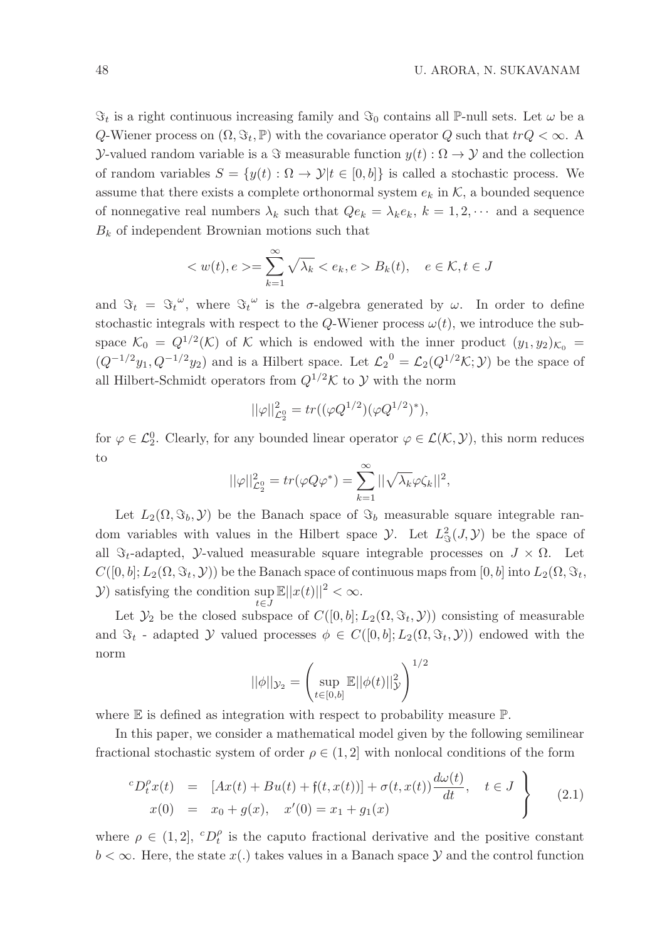$\Im_t$  is a right continuous increasing family and  $\Im_0$  contains all P-null sets. Let  $\omega$  be a Q-Wiener process on  $(\Omega, \Im_t, \mathbb{P})$  with the covariance operator Q such that  $trQ < \infty$ . Y-valued random variable is a  $\Im$  measurable function  $y(t)$  :  $\Omega \to Y$  and the collection of random variables  $S = \{y(t) : \Omega \to \mathcal{Y} | t \in [0, b] \}$  is called a stochastic process. We assume that there exists a complete orthonormal system  $e_k$  in  $K$ , a bounded sequence of nonnegative real numbers  $\lambda_k$  such that  $Qe_k = \lambda_k e_k$ ,  $k = 1, 2, \cdots$  and a sequence  $B_k$  of independent Brownian motions such that

$$
\langle w(t), e \rangle = \sum_{k=1}^{\infty} \sqrt{\lambda_k} \langle e_k, e \rangle B_k(t), \quad e \in \mathcal{K}, t \in J
$$

and  $\Im_t = \Im_t^{\omega}$ , where  $\Im_t^{\omega}$  is the  $\sigma$ -algebra generated by  $\omega$ . In order to define stochastic integrals with respect to the Q-Wiener process  $\omega(t)$ , we introduce the subspace  $\mathcal{K}_0 = Q^{1/2}(\mathcal{K})$  of K which is endowed with the inner product  $(y_1, y_2)_{\mathcal{K}_0} =$  $(Q^{-1/2}y_1, Q^{-1/2}y_2)$  and is a Hilbert space. Let  $\mathcal{L}_2^0 = \mathcal{L}_2(Q^{1/2} \mathcal{K}; \mathcal{Y})$  be the space of all Hilbert-Schmidt operators from  $Q^{1/2}\mathcal{K}$  to Y with the norm

$$
||\varphi||^2_{\mathcal{L}_2^0} = tr((\varphi Q^{1/2})(\varphi Q^{1/2})^*),
$$

for  $\varphi \in \mathcal{L}_2^0$ . Clearly, for any bounded linear operator  $\varphi \in \mathcal{L}(\mathcal{K}, \mathcal{Y})$ , this norm reduces to

$$
||\varphi||_{\mathcal{L}_2^0}^2 = tr(\varphi Q \varphi^*) = \sum_{k=1}^{\infty} ||\sqrt{\lambda_k} \varphi \zeta_k||^2,
$$

Let  $L_2(\Omega, \Im_b, \mathcal{Y})$  be the Banach space of  $\Im_b$  measurable square integrable random variables with values in the Hilbert space  $\mathcal{Y}$ . Let  $L^2(\mathcal{J}, \mathcal{Y})$  be the space of all  $\Im_t$ -adapted, *Y*-valued measurable square integrable processes on  $J \times \Omega$ . Let  $C([0, b]; L_2(\Omega, \Im_t, \mathcal{Y}))$  be the Banach space of continuous maps from  $[0, b]$  into  $L_2(\Omega, \Im_t, \mathcal{Y})$  $(Y)$  satisfying the condition sup  $\mathbb{E}||x(t)||^2 < \infty$ .

Let  $\mathcal{Y}_2$  be the closed subspace of  $C([0, b]; L_2(\Omega, \Im_t, \mathcal{Y}))$  consisting of measurable and  $\Im_t$  - adapted Y valued processes  $\phi \in C([0, b]; L_2(\Omega, \Im_t, \mathcal{Y}))$  endowed with the norm

$$
||\phi||_{\mathcal{Y}_2} = \left(\sup_{t \in [0,b]} \mathbb{E}||\phi(t)||_{\mathcal{Y}}^2\right)^{1/2}
$$

where  $E$  is defined as integration with respect to probability measure  $\mathbb{P}$ .

In this paper, we consider a mathematical model given by the following semilinear fractional stochastic system of order  $\rho \in (1, 2]$  with nonlocal conditions of the form

$$
\begin{array}{rcl}\n^{c}D_{t}^{\rho}x(t) & = & [Ax(t) + Bu(t) + \mathfrak{f}(t, x(t))] + \sigma(t, x(t))\frac{d\omega(t)}{dt}, \quad t \in J \\
x(0) & = & x_{0} + g(x), \quad x'(0) = x_{1} + g_{1}(x)\n\end{array} \tag{2.1}
$$

where  $\rho \in (1,2], \,{}^cD_t^{\rho}$  is the caputo fractional derivative and the positive constant  $b < \infty$ . Here, the state  $x(.)$  takes values in a Banach space  $\mathcal Y$  and the control function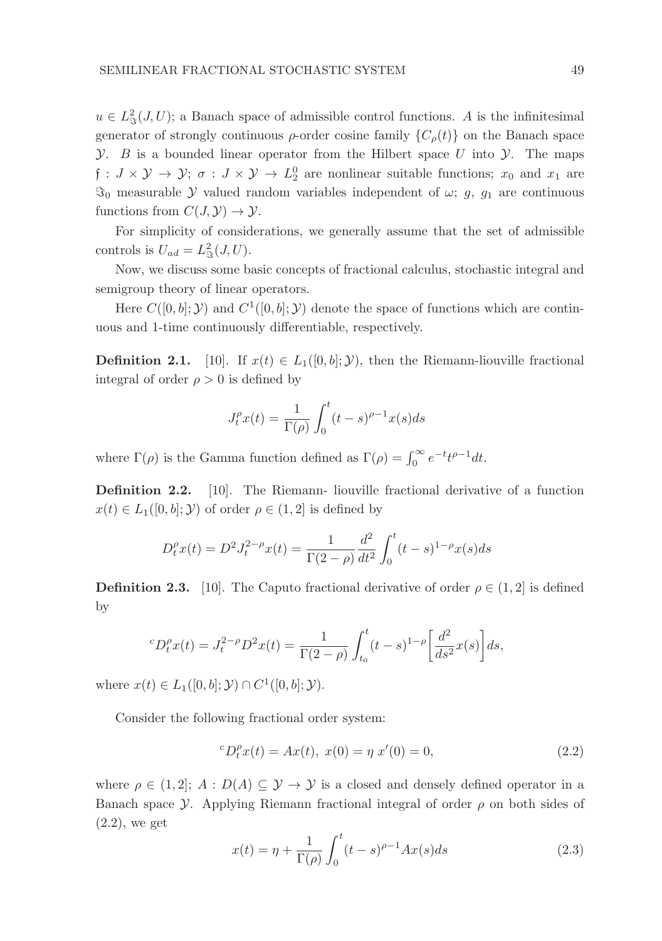$u \in L^2_{\mathcal{F}}(J,U)$ ; a Banach space of admissible control functions. A is the infinitesimal generator of strongly continuous  $\rho$ -order cosine family  $\{C_{\rho}(t)\}\$  on the Banach space  $\mathcal Y$ . B is a bounded linear operator from the Hilbert space U into  $\mathcal Y$ . The maps  $f: J \times Y \to Y; \sigma: J \times Y \to L_2^0$  are nonlinear suitable functions;  $x_0$  and  $x_1$  are  $\Im$ <sub>0</sub> measurable *y* valued random variables independent of  $\omega$ ; g, g<sub>1</sub> are continuous functions from  $C(J, Y) \to Y$ .

For simplicity of considerations, we generally assume that the set of admissible controls is  $U_{ad} = L^2_{\Im}(J, U)$ .

Now, we discuss some basic concepts of fractional calculus, stochastic integral and semigroup theory of linear operators.

Here  $C([0, b]; \mathcal{Y})$  and  $C^1([0, b]; \mathcal{Y})$  denote the space of functions which are continuous and 1-time continuously differentiable, respectively.

**Definition 2.1.** [10]. If  $x(t) \in L_1([0, b]; \mathcal{Y})$ , then the Riemann-liouville fractional integral of order  $\rho > 0$  is defined by

$$
J_t^{\rho}x(t) = \frac{1}{\Gamma(\rho)} \int_0^t (t-s)^{\rho-1} x(s)ds
$$

where  $\Gamma(\rho)$  is the Gamma function defined as  $\Gamma(\rho) = \int_0^\infty e^{-t} t^{\rho-1} dt$ .

Definition 2.2. [10]. The Riemann- liouville fractional derivative of a function  $x(t) \in L_1([0, b]; \mathcal{Y})$  of order  $\rho \in (1, 2]$  is defined by

$$
D_t^{\rho} x(t) = D^2 J_t^{2-\rho} x(t) = \frac{1}{\Gamma(2-\rho)} \frac{d^2}{dt^2} \int_0^t (t-s)^{1-\rho} x(s) ds
$$

**Definition 2.3.** [10]. The Caputo fractional derivative of order  $\rho \in (1, 2]$  is defined by

$$
{}^{c}D_{t}^{\rho}x(t) = J_{t}^{2-\rho}D^{2}x(t) = \frac{1}{\Gamma(2-\rho)} \int_{t_{0}}^{t} (t-s)^{1-\rho} \left[ \frac{d^{2}}{ds^{2}}x(s) \right] ds,
$$

where  $x(t) \in L_1([0, b]; \mathcal{Y}) \cap C^1([0, b]; \mathcal{Y}).$ 

Consider the following fractional order system:

$$
{}^{c}D_{t}^{\rho}x(t) = Ax(t), x(0) = \eta x'(0) = 0,
$$
\n(2.2)

where  $\rho \in (1, 2]$ ;  $A : D(A) \subseteq Y \rightarrow Y$  is a closed and densely defined operator in a Banach space *y*. Applying Riemann fractional integral of order  $\rho$  on both sides of (2.2), we get

$$
x(t) = \eta + \frac{1}{\Gamma(\rho)} \int_0^t (t - s)^{\rho - 1} A x(s) ds
$$
 (2.3)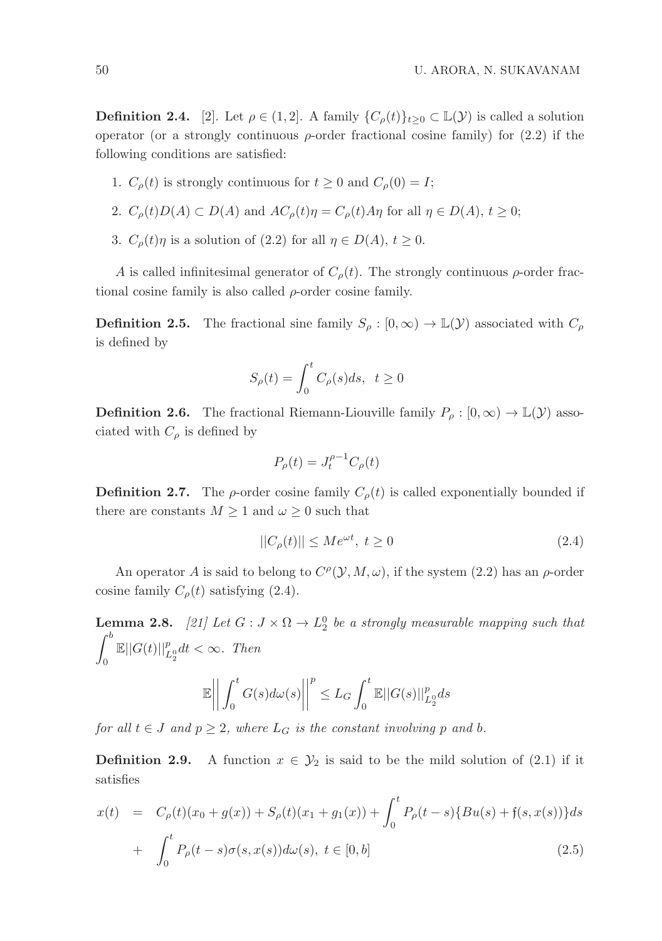**Definition 2.4.** [2]. Let  $\rho \in (1, 2]$ . A family  $\{C_{\rho}(t)\}_{t>0} \subset \mathbb{L}(\mathcal{Y})$  is called a solution operator (or a strongly continuous  $\rho$ -order fractional cosine family) for (2.2) if the following conditions are satisfied:

1.  $C_{\rho}(t)$  is strongly continuous for  $t \geq 0$  and  $C_{\rho}(0) = I$ ;

2. 
$$
C_{\rho}(t)D(A) \subset D(A)
$$
 and  $AC_{\rho}(t)\eta = C_{\rho}(t)A\eta$  for all  $\eta \in D(A)$ ,  $t \ge 0$ ;

3.  $C_{\rho}(t)\eta$  is a solution of (2.2) for all  $\eta \in D(A), t \geq 0$ .

A is called infinitesimal generator of  $C_{\rho}(t)$ . The strongly continuous  $\rho$ -order fractional cosine family is also called  $\rho$ -order cosine family.

**Definition 2.5.** The fractional sine family  $S_\rho : [0, \infty) \to \mathbb{L}(\mathcal{Y})$  associated with  $C_\rho$ is defined by

$$
S_{\rho}(t) = \int_0^t C_{\rho}(s)ds, \ t \ge 0
$$

**Definition 2.6.** The fractional Riemann-Liouville family  $P_{\rho} : [0, \infty) \to \mathbb{L}(\mathcal{Y})$  associated with  $C_{\rho}$  is defined by

$$
P_{\rho}(t) = J_t^{\rho - 1} C_{\rho}(t)
$$

**Definition 2.7.** The  $\rho$ -order cosine family  $C_{\rho}(t)$  is called exponentially bounded if there are constants  $M \geq 1$  and  $\omega \geq 0$  such that

$$
||C_{\rho}(t)|| \le Me^{\omega t}, \ t \ge 0 \tag{2.4}
$$

An operator A is said to belong to  $C^{\rho}(\mathcal{Y}, M, \omega)$ , if the system (2.2) has an  $\rho$ -order cosine family  $C_{\rho}(t)$  satisfying (2.4).

**Lemma 2.8.** [21] Let  $G: J \times \Omega \to L_2^0$  be a strongly measurable mapping such that  $\int^b$ 0  $\mathbb{E}||G(t)||_{L_2^0}^p dt < \infty$ . Then  $\mathbb{E}\Bigg|$  $\begin{array}{c} \hline \end{array}$  $\int_0^t$  $G(s)d\omega(s)\bigg|$  p  $\leq L_G \int_0^t$  $\mathbb{E} \Vert G(s) \Vert_{L_{2}^{0}}^{p} ds$ 

0

for all  $t \in J$  and  $p \geq 2$ , where  $L_G$  is the constant involving p and b.

0

**Definition 2.9.** A function  $x \in \mathcal{Y}_2$  is said to be the mild solution of (2.1) if it satisfies

$$
x(t) = C_{\rho}(t)(x_0 + g(x)) + S_{\rho}(t)(x_1 + g_1(x)) + \int_0^t P_{\rho}(t - s) \{Bu(s) + f(s, x(s))\} ds
$$
  
+ 
$$
\int_0^t P_{\rho}(t - s) \sigma(s, x(s)) d\omega(s), t \in [0, b]
$$
 (2.5)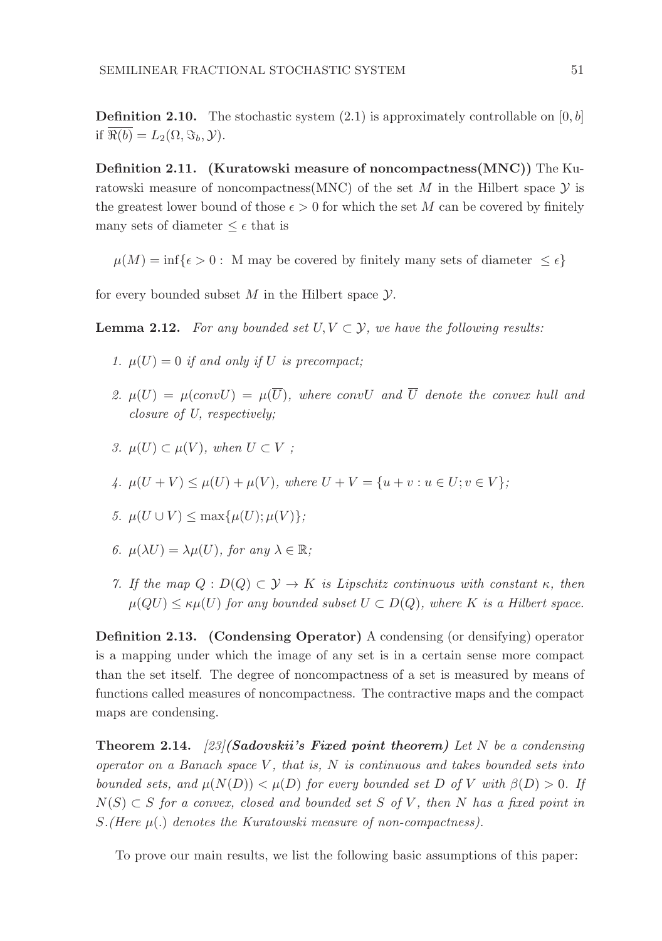**Definition 2.10.** The stochastic system  $(2.1)$  is approximately controllable on  $[0, b]$ if  $\overline{\Re(b)} = L_2(\Omega, \Im_b, \mathcal{Y}).$ 

Definition 2.11. (Kuratowski measure of noncompactness(MNC)) The Kuratowski measure of noncompactness(MNC) of the set M in the Hilbert space  $\mathcal Y$  is the greatest lower bound of those  $\epsilon > 0$  for which the set M can be covered by finitely many sets of diameter  $\leq \epsilon$  that is

 $\mu(M) = \inf\{\epsilon > 0: M \text{ may be covered by finitely many sets of diameter } \leq \epsilon\}$ 

for every bounded subset  $M$  in the Hilbert space  $\mathcal Y$ .

**Lemma 2.12.** For any bounded set  $U, V \subset Y$ , we have the following results:

- 1.  $\mu(U) = 0$  if and only if U is precompact:
- 2.  $\mu(U) = \muconvU = \mu(\overline{U})$ , where conv $U$  and  $\overline{U}$  denote the convex hull and closure of U, respectively;
- 3.  $\mu(U) \subset \mu(V)$ , when  $U \subset V$ ;

4. 
$$
\mu(U+V) \le \mu(U) + \mu(V)
$$
, where  $U + V = \{u + v : u \in U; v \in V\}$ ;

- 5.  $\mu(U \cup V) \leq \max{\mu(U); \mu(V)}$ ;
- 6.  $\mu(\lambda U) = \lambda \mu(U)$ , for any  $\lambda \in \mathbb{R}$ ;
- 7. If the map  $Q : D(Q) \subset \mathcal{Y} \to K$  is Lipschitz continuous with constant  $\kappa$ , then  $\mu(QU) \leq \kappa \mu(U)$  for any bounded subset  $U \subset D(Q)$ , where K is a Hilbert space.

Definition 2.13. (Condensing Operator) A condensing (or densifying) operator is a mapping under which the image of any set is in a certain sense more compact than the set itself. The degree of noncompactness of a set is measured by means of functions called measures of noncompactness. The contractive maps and the compact maps are condensing.

**Theorem 2.14.** [23] (Sadovskii's Fixed point theorem) Let N be a condensing operator on a Banach space V, that is,  $N$  is continuous and takes bounded sets into bounded sets, and  $\mu(N(D)) < \mu(D)$  for every bounded set D of V with  $\beta(D) > 0$ . If  $N(S) \subset S$  for a convex, closed and bounded set S of V, then N has a fixed point in  $S.(Here \mu(.)$  denotes the Kuratowski measure of non-compactness).

To prove our main results, we list the following basic assumptions of this paper: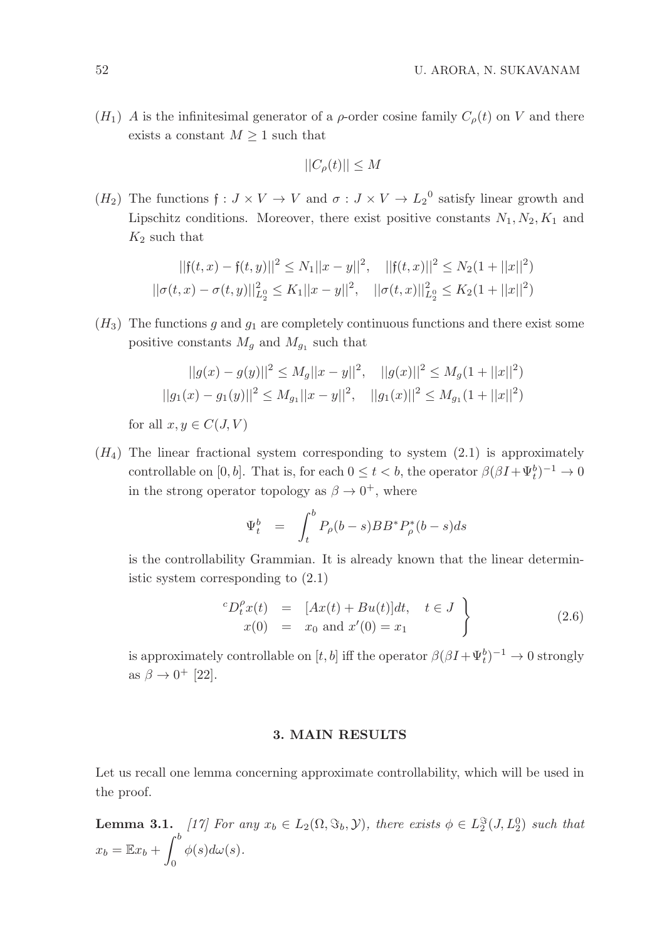$(H_1)$  A is the infinitesimal generator of a  $\rho$ -order cosine family  $C_{\rho}(t)$  on V and there exists a constant  $M \geq 1$  such that

$$
||C_{\rho}(t)|| \le M
$$

 $(H_2)$  The functions  $\mathfrak{f}: J \times V \to V$  and  $\sigma: J \times V \to L_2^0$  satisfy linear growth and Lipschitz conditions. Moreover, there exist positive constants  $N_1, N_2, K_1$  and  $K_2$  such that

$$
||f(t, x) - f(t, y)||^2 \le N_1 ||x - y||^2, \quad ||f(t, x)||^2 \le N_2 (1 + ||x||^2)
$$
  

$$
||\sigma(t, x) - \sigma(t, y)||_{L_2^0}^2 \le K_1 ||x - y||^2, \quad ||\sigma(t, x)||_{L_2^0}^2 \le K_2 (1 + ||x||^2)
$$

 $(H_3)$  The functions q and  $q_1$  are completely continuous functions and there exist some positive constants  $M_g$  and  $M_{g_1}$  such that

$$
||g(x) - g(y)||^2 \le M_g ||x - y||^2, \quad ||g(x)||^2 \le M_g(1 + ||x||^2)
$$
  

$$
||g_1(x) - g_1(y)||^2 \le M_{g_1} ||x - y||^2, \quad ||g_1(x)||^2 \le M_{g_1}(1 + ||x||^2)
$$

for all  $x, y \in C(J, V)$ 

 $(H_4)$  The linear fractional system corresponding to system  $(2.1)$  is approximately controllable on [0, b]. That is, for each  $0 \le t < b$ , the operator  $\beta(\beta I + \Psi_t^b)^{-1} \to 0$ in the strong operator topology as  $\beta \to 0^+$ , where

$$
\Psi_t^b = \int_t^b P_\rho(b-s)BB^* P_\rho^*(b-s)ds
$$

is the controllability Grammian. It is already known that the linear deterministic system corresponding to (2.1)

$$
\begin{array}{rcl}\n^{c}D_{t}^{\rho}x(t) & = & [Ax(t) + Bu(t)]dt, \quad t \in J \\
x(0) & = & x_{0} \text{ and } x'(0) = x_{1}\n\end{array} \tag{2.6}
$$

is approximately controllable on  $[t, b]$  iff the operator  $\beta(\beta I + \Psi_t^b)^{-1} \to 0$  strongly as  $\beta \rightarrow 0^+$  [22].

#### 3. MAIN RESULTS

Let us recall one lemma concerning approximate controllability, which will be used in the proof.

**Lemma 3.1.** [17] For any  $x_b \in L_2(\Omega, \Im_b, \mathcal{Y})$ , there exists  $\phi \in L_2^{\Im}(J, L_2^0)$  such that  $x_b = \mathbb{E}x_b + \int^b$ 0  $\phi(s)d\omega(s).$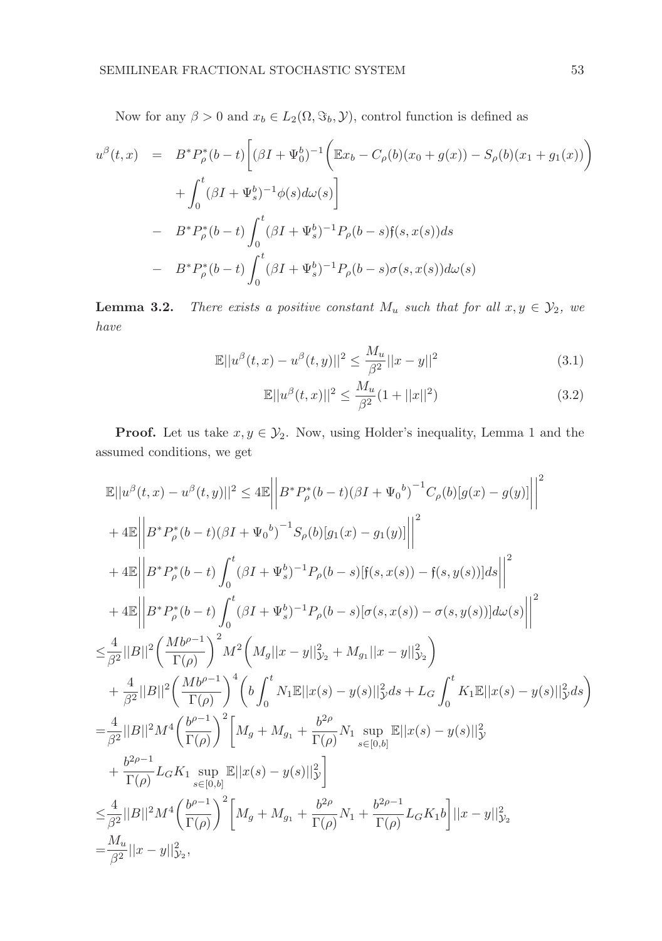Now for any  $\beta > 0$  and  $x_b \in L_2(\Omega, \Im_b, \mathcal{Y})$ , control function is defined as

$$
u^{\beta}(t,x) = B^* P_{\rho}^*(b-t) \left[ (\beta I + \Psi_0^b)^{-1} \left( \mathbb{E} x_b - C_{\rho}(b)(x_0 + g(x)) - S_{\rho}(b)(x_1 + g_1(x)) \right) \right]
$$
  
+ 
$$
\int_0^t (\beta I + \Psi_s^b)^{-1} \phi(s) d\omega(s) \right]
$$
  
- 
$$
B^* P_{\rho}^*(b-t) \int_0^t (\beta I + \Psi_s^b)^{-1} P_{\rho}(b-s) f(s, x(s)) ds
$$
  
- 
$$
B^* P_{\rho}^*(b-t) \int_0^t (\beta I + \Psi_s^b)^{-1} P_{\rho}(b-s) \sigma(s, x(s)) d\omega(s)
$$

**Lemma 3.2.** There exists a positive constant  $M_u$  such that for all  $x, y \in \mathcal{Y}_2$ , we have

$$
\mathbb{E}||u^{\beta}(t,x) - u^{\beta}(t,y)||^{2} \le \frac{M_{u}}{\beta^{2}}||x - y||^{2}
$$
\n(3.1)

$$
\mathbb{E}||u^{\beta}(t,x)||^{2} \le \frac{M_{u}}{\beta^{2}}(1+||x||^{2})
$$
\n(3.2)

**Proof.** Let us take  $x, y \in \mathcal{Y}_2$ . Now, using Holder's inequality, Lemma 1 and the assumed conditions, we get

$$
\mathbb{E}||u^{\beta}(t,x) - u^{\beta}(t,y)||^{2} \leq 4\mathbb{E}\left||B^{*}P_{\rho}^{*}(b-t)(\beta I + \Psi_{0}^{b})^{-1}C_{\rho}(b)[g(x) - g(y)]\right||^{2}
$$
\n
$$
+ 4\mathbb{E}\left||B^{*}P_{\rho}^{*}(b-t)(\beta I + \Psi_{0}^{b})^{-1}S_{\rho}(b)[g_{1}(x) - g_{1}(y)]\right||^{2}
$$
\n
$$
+ 4\mathbb{E}\left||B^{*}P_{\rho}^{*}(b-t)\int_{0}^{t}(\beta I + \Psi_{s}^{b})^{-1}P_{\rho}(b-s)[f(s, x(s)) - f(s, y(s))]ds\right||^{2}
$$
\n
$$
+ 4\mathbb{E}\left||B^{*}P_{\rho}^{*}(b-t)\int_{0}^{t}(\beta I + \Psi_{s}^{b})^{-1}P_{\rho}(b-s)[\sigma(s, x(s)) - \sigma(s, y(s))]d\omega(s)\right||^{2}
$$
\n
$$
\leq \frac{4}{\beta^{2}}||B||^{2}\left(\frac{Mb^{\rho-1}}{\Gamma(\rho)}\right)^{2}M^{2}\left(M_{g}||x - y||_{\mathcal{Y}_{2}}^{2} + M_{g_{1}}||x - y||_{\mathcal{Y}_{2}}^{2}\right)
$$
\n
$$
+ \frac{4}{\beta^{2}}||B||^{2}\left(\frac{Mb^{\rho-1}}{\Gamma(\rho)}\right)^{4}\left(b\int_{0}^{t}N_{1}\mathbb{E}||x(s) - y(s)||_{\mathcal{Y}}^{2}ds + L_{G}\int_{0}^{t}K_{1}\mathbb{E}||x(s) - y(s)||_{\mathcal{Y}}^{2}ds\right)
$$
\n
$$
= \frac{4}{\beta^{2}}||B||^{2}M^{4}\left(\frac{b^{\rho-1}}{\Gamma(\rho)}\right)^{2}\left[M_{g} + M_{g_{1}} + \frac{b^{2\rho}}{\Gamma(\rho)}N_{1} \sup_{s\in[0,b]} \mathbb{E}||x(s) - y(s)||_{\mathcal{Y}}^{2}
$$
\n
$$
+ \frac{b^{2\rho-1}}{\Gamma(\rho)}L_{G}K_{1} \sup_{s\in[0,b]} \mathbb{E}||x(s) - y(s)||_{\mathcal{Y}}^{2}\right)
$$
\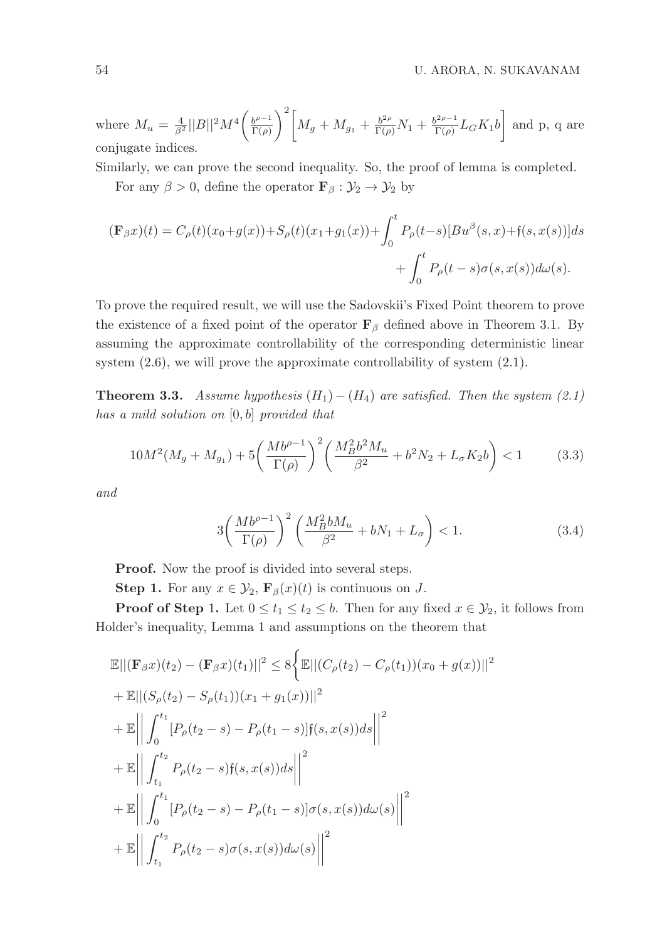where  $M_u = \frac{4}{\beta^2} ||B||^2 M^4 \left( \frac{b^{\rho-1}}{\Gamma(\rho)} \right)$  $\Gamma(\rho)$  $\int^2 \left[ M_g + M_{g_1} + \frac{b^{2\rho}}{\Gamma(\rho)} N_1 + \frac{b^{2\rho-1}}{\Gamma(\rho)} \right]$  $\left[\frac{a^{2\rho-1}}{\Gamma(\rho)}L_GK_1b\right]$  and p, q are conjugate indices.

Similarly, we can prove the second inequality. So, the proof of lemma is completed.

For any  $\beta > 0$ , define the operator  $\mathbf{F}_{\beta} : \mathcal{Y}_2 \to \mathcal{Y}_2$  by

$$
(\mathbf{F}_{\beta}x)(t) = C_{\rho}(t)(x_0+g(x)) + S_{\rho}(t)(x_1+g_1(x)) + \int_0^t P_{\rho}(t-s)[Bu^{\beta}(s,x) + \mathfrak{f}(s,x(s))]ds
$$
  
+ 
$$
\int_0^t P_{\rho}(t-s)\sigma(s,x(s))d\omega(s).
$$

To prove the required result, we will use the Sadovskii's Fixed Point theorem to prove the existence of a fixed point of the operator  $\mathbf{F}_{\beta}$  defined above in Theorem 3.1. By assuming the approximate controllability of the corresponding deterministic linear system  $(2.6)$ , we will prove the approximate controllability of system  $(2.1)$ .

**Theorem 3.3.** Assume hypothesis  $(H_1) - (H_4)$  are satisfied. Then the system (2.1) has a mild solution on [0, b] provided that

$$
10M^2(M_g + M_{g_1}) + 5\left(\frac{Mb^{\rho-1}}{\Gamma(\rho)}\right)^2 \left(\frac{M_B^2 b^2 M_u}{\beta^2} + b^2 N_2 + L_\sigma K_2 b\right) < 1\tag{3.3}
$$

and

$$
3\left(\frac{Mb^{\rho-1}}{\Gamma(\rho)}\right)^2 \left(\frac{M_B^2bM_u}{\beta^2} + bN_1 + L_\sigma\right) < 1. \tag{3.4}
$$

**Proof.** Now the proof is divided into several steps.

**Step 1.** For any  $x \in \mathcal{Y}_2$ ,  $\mathbf{F}_{\beta}(x)(t)$  is continuous on J.

**Proof of Step 1.** Let  $0 \le t_1 \le t_2 \le b$ . Then for any fixed  $x \in \mathcal{Y}_2$ , it follows from Holder's inequality, Lemma 1 and assumptions on the theorem that

$$
\mathbb{E}||(\mathbf{F}_{\beta}x)(t_2) - (\mathbf{F}_{\beta}x)(t_1)||^2 \leq 8\Big\{\mathbb{E}||(C_{\rho}(t_2) - C_{\rho}(t_1))(x_0 + g(x))||^2
$$
  
+ 
$$
\mathbb{E}||(S_{\rho}(t_2) - S_{\rho}(t_1))(x_1 + g_1(x))||^2
$$
  
+ 
$$
\mathbb{E}||\int_0^{t_1} [P_{\rho}(t_2 - s) - P_{\rho}(t_1 - s)]f(s, x(s))ds||^2
$$
  
+ 
$$
\mathbb{E}||\int_{t_1}^{t_2} P_{\rho}(t_2 - s)f(s, x(s))ds||^2
$$
  
+ 
$$
\mathbb{E}||\int_0^{t_1} [P_{\rho}(t_2 - s) - P_{\rho}(t_1 - s)]\sigma(s, x(s))d\omega(s)||^2
$$
  
+ 
$$
\mathbb{E}||\int_{t_1}^{t_2} P_{\rho}(t_2 - s)\sigma(s, x(s))d\omega(s)||^2
$$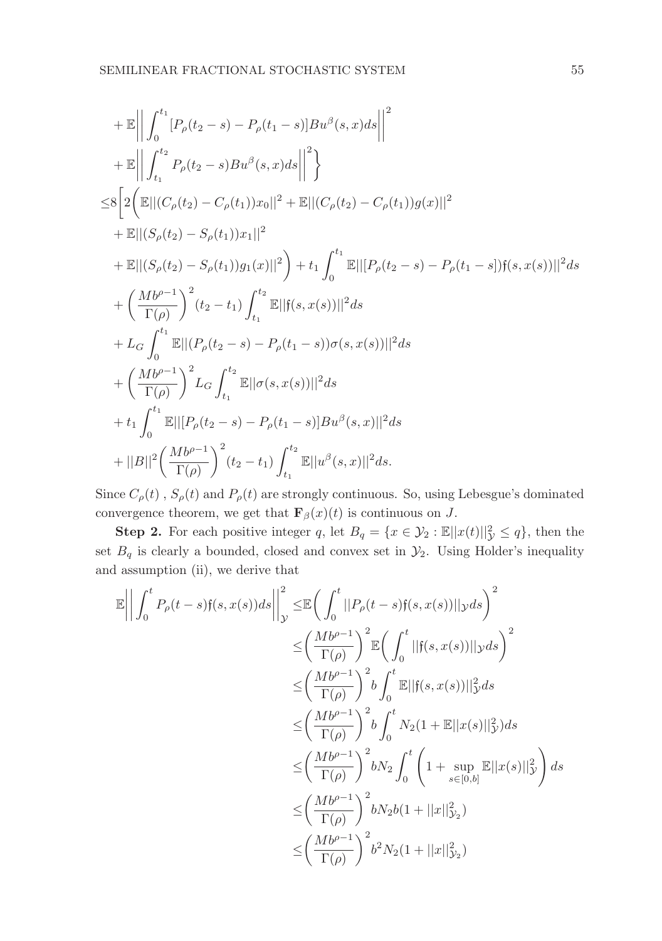+ 
$$
\mathbb{E}\left\|\int_{0}^{t_1} [P_{\rho}(t_2 - s) - P_{\rho}(t_1 - s)]Bu^{\beta}(s, x)ds\right\|^2
$$
  
\n+  $\mathbb{E}\left\|\int_{t_1}^{t_2} P_{\rho}(t_2 - s)Bu^{\beta}(s, x)ds\right\|^2\right\}$   
\n $\leq 8\left[2\left(\mathbb{E}||(C_{\rho}(t_2) - C_{\rho}(t_1))x_0||^2 + \mathbb{E}||(C_{\rho}(t_2) - C_{\rho}(t_1))g(x)||^2\right] + \mathbb{E}||(S_{\rho}(t_2) - S_{\rho}(t_1))x_1||^2$   
\n+  $\mathbb{E}||(S_{\rho}(t_2) - S_{\rho}(t_1))g_1(x)||^2\right) + t_1 \int_{0}^{t_1} \mathbb{E}||[P_{\rho}(t_2 - s) - P_{\rho}(t_1 - s)]f(s, x(s))||^2 ds$   
\n+  $\left(\frac{Mb^{\rho-1}}{\Gamma(\rho)}\right)^2 (t_2 - t_1) \int_{t_1}^{t_2} \mathbb{E}||f(s, x(s))||^2 ds$   
\n+  $L_G \int_{0}^{t_1} \mathbb{E}||(P_{\rho}(t_2 - s) - P_{\rho}(t_1 - s))\sigma(s, x(s))||^2 ds$   
\n+  $\left(\frac{Mb^{\rho-1}}{\Gamma(\rho)}\right)^2 L_G \int_{t_1}^{t_2} \mathbb{E}||\sigma(s, x(s))||^2 ds$   
\n+  $t_1 \int_{0}^{t_1} \mathbb{E}||[P_{\rho}(t_2 - s) - P_{\rho}(t_1 - s)]Bu^{\beta}(s, x)||^2 ds$   
\n+  $|B||^2 \left(\frac Mb^{\rho-1}}{\Gamma(\rho)}\right)^2 (t_2 - t_1) \int_{t_1}^{t_2} \mathbb{E}||u^{\beta}(s, x)||^2 ds$ .

Since  $C_{\rho}(t)$ ,  $S_{\rho}(t)$  and  $P_{\rho}(t)$  are strongly continuous. So, using Lebesgue's dominated convergence theorem, we get that  $\mathbf{F}_{\beta}(x)(t)$  is continuous on J.

**Step 2.** For each positive integer q, let  $B_q = \{x \in \mathcal{Y}_2 : \mathbb{E} ||x(t)||_{\mathcal{Y}}^2 \leq q\}$ , then the set  $B_q$  is clearly a bounded, closed and convex set in  $\mathcal{Y}_2$ . Using Holder's inequality and assumption (ii), we derive that

$$
\mathbb{E}\left|\left|\int_{0}^{t} P_{\rho}(t-s)\mathfrak{f}(s,x(s))ds\right|\right|_{\mathcal{Y}}^{2} \leq \mathbb{E}\left(\int_{0}^{t}||P_{\rho}(t-s)\mathfrak{f}(s,x(s))||\mathfrak{y}ds\right)^{2}
$$
  
\n
$$
\leq \left(\frac{Mb^{\rho-1}}{\Gamma(\rho)}\right)^{2} \mathbb{E}\left(\int_{0}^{t}||\mathfrak{f}(s,x(s))||\mathfrak{y}ds\right)^{2}
$$
  
\n
$$
\leq \left(\frac Mb^{\rho-1}}{\Gamma(\rho)}\right)^{2} b \int_{0}^{t} \mathbb{E}||\mathfrak{f}(s,x(s))||_{\mathcal{Y}}^{2} ds
$$
  
\n
$$
\leq \left(\frac Mb^{\rho-1}}{\Gamma(\rho)}\right)^{2} b \int_{0}^{t} N_{2}(1+\mathbb{E}||x(s)||_{\mathcal{Y}}^{2}) ds
$$
  
\n
$$
\leq \left(\frac Mb^{\rho-1}}{\Gamma(\rho)}\right)^{2} bN_{2} \int_{0}^{t} \left(1+\sup_{s\in[0,b]} \mathbb{E}||x(s)||_{\mathcal{Y}}^{2}\right) ds
$$
  
\n
$$
\leq \left(\frac Mb^{\rho-1}}{\Gamma(\rho)}\right)^{2} bN_{2}b(1+||x||_{\mathcal{Y}_{2}}^{2})
$$
  
\n
$$
\leq \left(\frac Mb^{\rho-1}}{\Gamma(\rho)}\right)^{2} b^{2}N_{2}(1+||x||_{\mathcal{Y}_{2}}^{2})
$$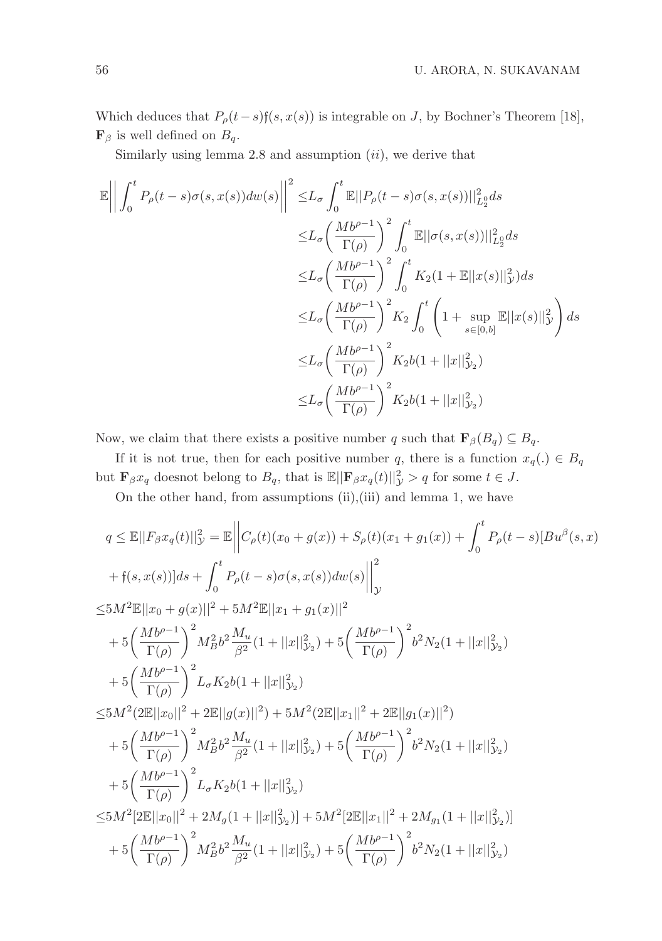Which deduces that  $P_{\rho}(t-s)$ f $(s, x(s))$  is integrable on J, by Bochner's Theorem [18],  $\mathbf{F}_{\beta}$  is well defined on  $B_q$ .

Similarly using lemma  $2.8$  and assumption  $(ii)$ , we derive that

$$
\mathbb{E}\left|\left|\int_{0}^{t} P_{\rho}(t-s)\sigma(s,x(s))dw(s)\right|\right|^{2} \leq L_{\sigma} \int_{0}^{t} \mathbb{E}||P_{\rho}(t-s)\sigma(s,x(s))||_{L_{2}^{0}}^{2} ds
$$
  
\n
$$
\leq L_{\sigma}\left(\frac{Mb^{\rho-1}}{\Gamma(\rho)}\right)^{2} \int_{0}^{t} \mathbb{E}||\sigma(s,x(s))||_{L_{2}^{0}}^{2} ds
$$
  
\n
$$
\leq L_{\sigma}\left(\frac{Mb^{\rho-1}}{\Gamma(\rho)}\right)^{2} \int_{0}^{t} K_{2}(1+\mathbb{E}||x(s)||_{\mathcal{Y}}^{2}) ds
$$
  
\n
$$
\leq L_{\sigma}\left(\frac{Mb^{\rho-1}}{\Gamma(\rho)}\right)^{2} K_{2} \int_{0}^{t} \left(1+\sup_{s\in[0,b]} \mathbb{E}||x(s)||_{\mathcal{Y}}^{2}\right) ds
$$
  
\n
$$
\leq L_{\sigma}\left(\frac Mb^{\rho-1}}{\Gamma(\rho)}\right)^{2} K_{2}b(1+||x||_{\mathcal{Y}_{2}}^{2})
$$
  
\n
$$
\leq L_{\sigma}\left(\frac Mb^{\rho-1}}{\Gamma(\rho)}\right)^{2} K_{2}b(1+||x||_{\mathcal{Y}_{2}}^{2})
$$

Now, we claim that there exists a positive number q such that  $\mathbf{F}_{\beta}(B_q) \subseteq B_q$ .

If it is not true, then for each positive number q, there is a function  $x_q(.) \in B_q$ but  $\mathbf{F}_{\beta}x_q$  doesnot belong to  $B_q$ , that is  $\mathbb{E}||\mathbf{F}_{\beta}x_q(t)||_{\mathcal{Y}}^2 > q$  for some  $t \in J$ .

On the other hand, from assumptions (ii),(iii) and lemma 1, we have

$$
q \leq \mathbb{E}||F_{\beta}x_{q}(t)||_{\mathcal{Y}}^{2} = \mathbb{E}\left||C_{\rho}(t)(x_{0}+g(x))+S_{\rho}(t)(x_{1}+g_{1}(x))+\int_{0}^{t}P_{\rho}(t-s)[Bu^{\beta}(s,x)\\+\mathfrak{f}(s,x(s))]ds+\int_{0}^{t}P_{\rho}(t-s)\sigma(s,x(s))dw(s)\right||_{\mathcal{Y}}^{2}
$$
  
\n
$$
\leq 5M^{2}\mathbb{E}||x_{0}+g(x)||^{2}+5M^{2}\mathbb{E}||x_{1}+g_{1}(x)||^{2}
$$
  
\n
$$
+5\left(\frac{Mb^{\rho-1}}{\Gamma(\rho)}\right)^{2}M_{B}^{2}b^{2}\frac{M_{u}}{\beta^{2}}(1+||x||_{\mathcal{Y}_{2}}^{2})+5\left(\frac{Mb^{\rho-1}}{\Gamma(\rho)}\right)^{2}b^{2}N_{2}(1+||x||_{\mathcal{Y}_{2}}^{2})
$$
  
\n
$$
+5\left(\frac{Mb^{\rho-1}}{\Gamma(\rho)}\right)^{2}L_{\sigma}K_{2}b(1+||x||_{\mathcal{Y}_{2}}^{2})
$$
  
\n
$$
\leq 5M^{2}(2\mathbb{E}||x_{0}||^{2}+2\mathbb{E}||g(x)||^{2})+5M^{2}(2\mathbb{E}||x_{1}||^{2}+2\mathbb{E}||g_{1}(x)||^{2})
$$
  
\n
$$
+5\left(\frac{Mb^{\rho-1}}{\Gamma(\rho)}\right)^{2}M_{B}^{2}b^{2}\frac{M_{u}}{\beta^{2}}(1+||x||_{\mathcal{Y}_{2}}^{2})+5\left(\frac{Mb^{\rho-1}}{\Gamma(\rho)}\right)^{2}b^{2}N_{2}(1+||x||_{\mathcal{Y}_{2}}^{2})
$$
  
\n
$$
+5\left(\frac{Mb^{\rho-1}}{\Gamma(\rho)}\right)^{2}L_{\sigma}K_{2}b(1+||x||_{\mathcal{Y}_{2}}^{2})
$$
  
\n
$$
\leq 5M^{2}[2\mathbb{E}||x_{0}||^{2}+2M_{g}(1+||x||_{\mathcal{Y}_{2}}^{2})]+5M^{2}[2\mathbb{E}||x_{1
$$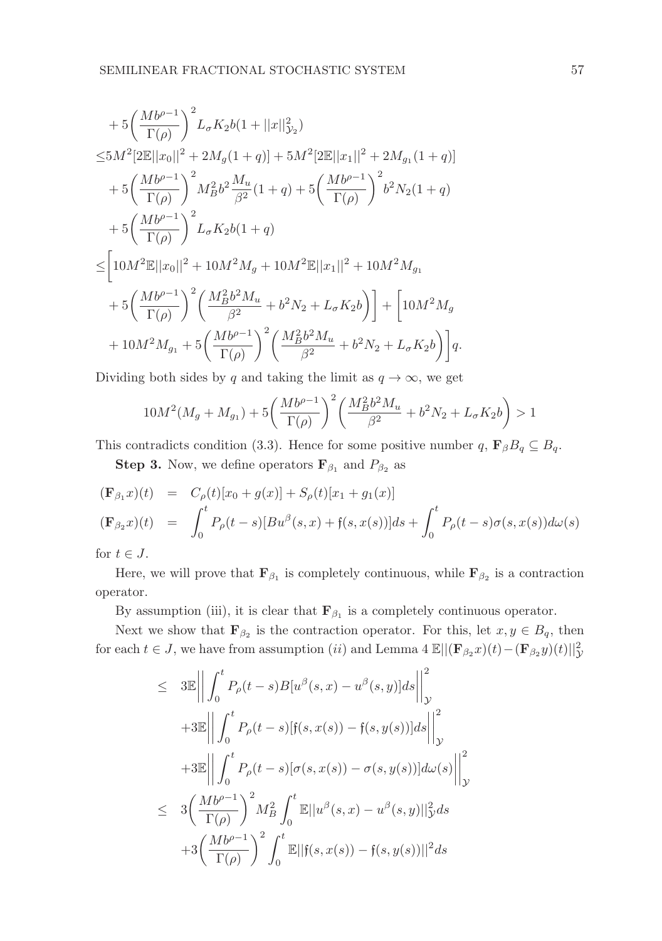$$
\begin{split} &+5\bigg(\frac{Mb^{\rho-1}}{\Gamma(\rho)}\bigg)^2L_{\sigma}K_{2}b(1+||x||_{\mathcal{Y}_{2}}^{2})\\ \leq &5M^{2}[2\mathbb{E}||x_{0}||^{2}+2M_{g}(1+q)]+5M^{2}[2\mathbb{E}||x_{1}||^{2}+2M_{g_{1}}(1+q)]\\ &+5\bigg(\frac{Mb^{\rho-1}}{\Gamma(\rho)}\bigg)^{2}M_{B}^{2}b^{2}\frac{M_{u}}{\beta^{2}}(1+q)+5\bigg(\frac{Mb^{\rho-1}}{\Gamma(\rho)}\bigg)^{2}b^{2}N_{2}(1+q)\\ &+5\bigg(\frac{Mb^{\rho-1}}{\Gamma(\rho)}\bigg)^{2}L_{\sigma}K_{2}b(1+q)\\ \leq&\bigg[10M^{2}\mathbb{E}||x_{0}||^{2}+10M^{2}M_{g}+10M^{2}\mathbb{E}||x_{1}||^{2}+10M^{2}M_{g_{1}}\\ &+5\bigg(\frac{Mb^{\rho-1}}{\Gamma(\rho)}\bigg)^{2}\bigg(\frac{M_{B}^{2}b^{2}M_{u}}{\beta^{2}}+b^{2}N_{2}+L_{\sigma}K_{2}b\bigg)\bigg]+\bigg[10M^{2}M_{g}\\ &+10M^{2}M_{g_{1}}+5\bigg(\frac{Mb^{\rho-1}}{\Gamma(\rho)}\bigg)^{2}\bigg(\frac{M_{B}^{2}b^{2}M_{u}}{\beta^{2}}+b^{2}N_{2}+L_{\sigma}K_{2}b\bigg)\bigg]q. \end{split}
$$

Dividing both sides by q and taking the limit as  $q \to \infty$ , we get

$$
10M^{2}(M_{g} + M_{g_{1}}) + 5\left(\frac{Mb^{\rho-1}}{\Gamma(\rho)}\right)^{2}\left(\frac{M_{B}^{2}b^{2}M_{u}}{\beta^{2}} + b^{2}N_{2} + L_{\sigma}K_{2}b\right) > 1
$$

This contradicts condition (3.3). Hence for some positive number q,  $\mathbf{F}_{\beta}B_q \subseteq B_q$ .

**Step 3.** Now, we define operators  $\mathbf{F}_{\beta_1}$  and  $P_{\beta_2}$  as

$$
\begin{array}{rcl}\n(\mathbf{F}_{\beta_1}x)(t) & = & C_{\rho}(t)[x_0 + g(x)] + S_{\rho}(t)[x_1 + g_1(x)] \\
(\mathbf{F}_{\beta_2}x)(t) & = & \int_0^t P_{\rho}(t-s)[Bu^{\beta}(s,x) + \mathfrak{f}(s,x(s))]ds + \int_0^t P_{\rho}(t-s)\sigma(s,x(s))d\omega(s) \\
\vdots \\
\mathbf{F}_{\beta_2}x(x) & = & \int_0^t P_{\rho}(t-s)[Bu^{\beta}(s,x) + \mathfrak{f}(s,x(s))]ds + \int_0^t P_{\rho}(t-s)\sigma(s,x(s))d\omega(s)\n\end{array}
$$

for  $t \in J$ .

Here, we will prove that  $\mathbf{F}_{\beta_1}$  is completely continuous, while  $\mathbf{F}_{\beta_2}$  is a contraction operator.

By assumption (iii), it is clear that  $\mathbf{F}_{\beta_1}$  is a completely continuous operator.

Next we show that  $\mathbf{F}_{\beta_2}$  is the contraction operator. For this, let  $x, y \in B_q$ , then for each  $t \in J$ , we have from assumption  $(ii)$  and Lemma 4  $\mathbb{E}||(\mathbf{F}_{\beta_2}x)(t) - (\mathbf{F}_{\beta_2}y)(t)||_{\mathcal{Y}}^2$ 

$$
\leq 3\mathbb{E} \left\| \int_0^t P_\rho(t-s) B[u^\beta(s,x) - u^\beta(s,y)]ds \right\|_{\mathcal{Y}}^2
$$
  
+3\mathbb{E} \left\| \int\_0^t P\_\rho(t-s) [f(s,x(s)) - f(s,y(s))]ds \right\|\_{\mathcal{Y}}^2  
+3\mathbb{E} \left\| \int\_0^t P\_\rho(t-s) [\sigma(s,x(s)) - \sigma(s,y(s))]d\omega(s) \right\|\_{\mathcal{Y}}^2  

$$
\leq 3\left(\frac{Mb^{\rho-1}}{\Gamma(\rho)}\right)^2 M_B^2 \int_0^t \mathbb{E} ||u^\beta(s,x) - u^\beta(s,y)||_{\mathcal{Y}}^2 ds+3\left(\frac Mb^{\rho-1}}{\Gamma(\rho)}\right)^2 \int_0^t \mathbb{E} ||f(s,x(s)) - f(s,y(s))||^2 ds
$$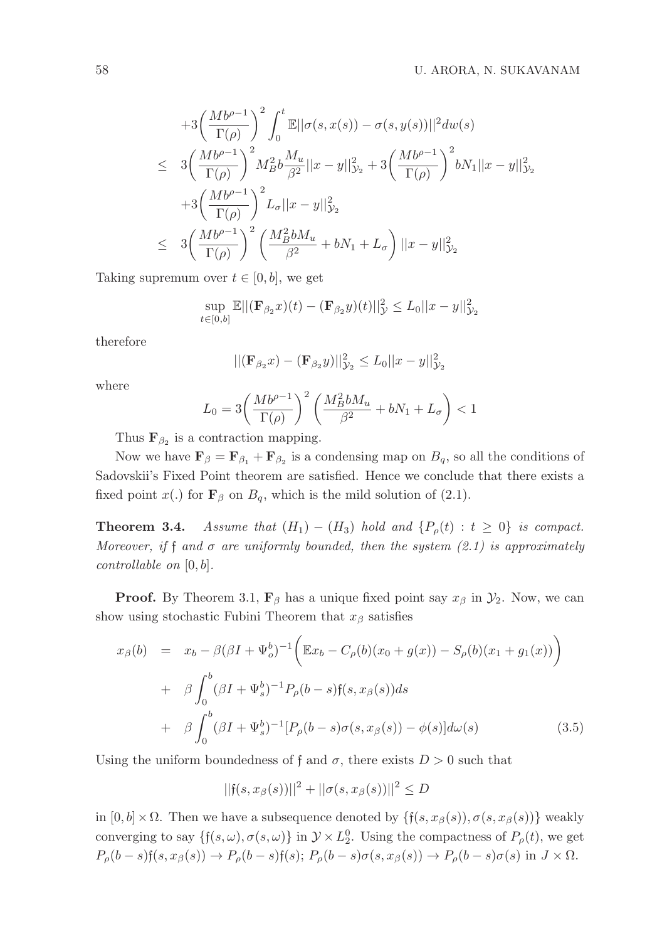$$
+3\left(\frac{Mb^{\rho-1}}{\Gamma(\rho)}\right)^2 \int_0^t \mathbb{E}||\sigma(s, x(s)) - \sigma(s, y(s))||^2 dw(s)
$$
  
\n
$$
\leq 3\left(\frac{Mb^{\rho-1}}{\Gamma(\rho)}\right)^2 M_B^2 b \frac{M_u}{\beta^2} ||x - y||_{\mathcal{Y}_2}^2 + 3\left(\frac{Mb^{\rho-1}}{\Gamma(\rho)}\right)^2 bN_1 ||x - y||_{\mathcal{Y}_2}^2
$$
  
\n
$$
+3\left(\frac{Mb^{\rho-1}}{\Gamma(\rho)}\right)^2 L_{\sigma} ||x - y||_{\mathcal{Y}_2}^2
$$
  
\n
$$
\leq 3\left(\frac{Mb^{\rho-1}}{\Gamma(\rho)}\right)^2 \left(\frac{M_B^2 bM_u}{\beta^2} + bN_1 + L_{\sigma}\right) ||x - y||_{\mathcal{Y}_2}^2
$$

Taking supremum over  $t \in [0, b]$ , we get

$$
\sup_{t \in [0,b]} \mathbb{E} ||(\mathbf{F}_{\beta_2} x)(t) - (\mathbf{F}_{\beta_2} y)(t)||_{\mathcal{Y}}^2 \le L_0 ||x - y||_{\mathcal{Y}_2}^2
$$

therefore

$$
||(\mathbf{F}_{\beta_2}x) - (\mathbf{F}_{\beta_2}y)||_{\mathcal{Y}_2}^2 \le L_0||x - y||_{\mathcal{Y}_2}^2
$$

where

$$
L_0 = 3\left(\frac{Mb^{\rho-1}}{\Gamma(\rho)}\right)^2 \left(\frac{M_B^2bM_u}{\beta^2} + bN_1 + L_\sigma\right) < 1
$$

Thus  $\mathbf{F}_{\beta_2}$  is a contraction mapping.

Now we have  $\mathbf{F}_{\beta} = \mathbf{F}_{\beta_1} + \mathbf{F}_{\beta_2}$  is a condensing map on  $B_q$ , so all the conditions of Sadovskii's Fixed Point theorem are satisfied. Hence we conclude that there exists a fixed point  $x(.)$  for  $\mathbf{F}_{\beta}$  on  $B_q$ , which is the mild solution of (2.1).

**Theorem 3.4.** Assume that  $(H_1) - (H_3)$  hold and  $\{P_o(t) : t \geq 0\}$  is compact. Moreover, if f and  $\sigma$  are uniformly bounded, then the system (2.1) is approximately  $controllabel$  on  $[0, b]$ .

**Proof.** By Theorem 3.1,  $\mathbf{F}_{\beta}$  has a unique fixed point say  $x_{\beta}$  in  $\mathcal{Y}_2$ . Now, we can show using stochastic Fubini Theorem that  $x_\beta$  satisfies

$$
x_{\beta}(b) = x_b - \beta(\beta I + \Psi_o^b)^{-1} \Big( \mathbb{E}x_b - C_{\rho}(b)(x_0 + g(x)) - S_{\rho}(b)(x_1 + g_1(x)) \Big) + \beta \int_0^b (\beta I + \Psi_s^b)^{-1} P_{\rho}(b-s) f(s, x_{\beta}(s)) ds + \beta \int_0^b (\beta I + \Psi_s^b)^{-1} [P_{\rho}(b-s) \sigma(s, x_{\beta}(s)) - \phi(s)] d\omega(s)
$$
(3.5)

Using the uniform boundedness of f and  $\sigma$ , there exists  $D > 0$  such that

 $||f(s, x_{\beta}(s))||^2 + ||\sigma(s, x_{\beta}(s))||^2 \leq D$ 

in  $[0, b] \times \Omega$ . Then we have a subsequence denoted by  $\{f(s, x_{\beta}(s)), \sigma(s, x_{\beta}(s))\}$  weakly converging to say  $\{f(s, \omega), \sigma(s, \omega)\}\$ in  $\mathcal{Y} \times L_2^0$ . Using the compactness of  $P_\rho(t)$ , we get  $P_{\rho}(b-s)$ f $(s, x_{\beta}(s)) \rightarrow P_{\rho}(b-s)$ f $(s)$ ;  $P_{\rho}(b-s)\sigma(s, x_{\beta}(s)) \rightarrow P_{\rho}(b-s)\sigma(s)$  in  $J \times \Omega$ .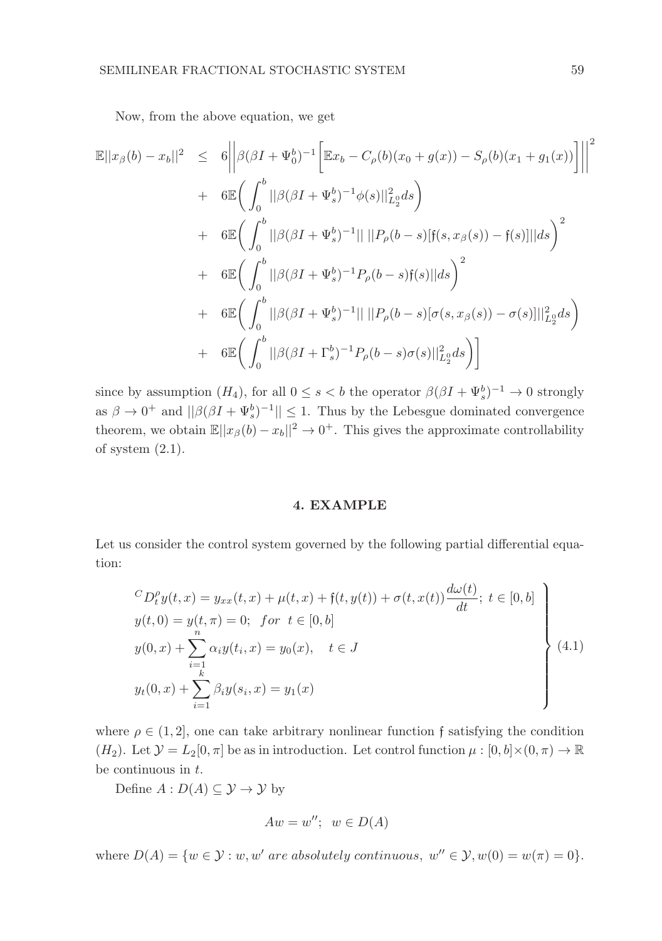Now, from the above equation, we get

$$
\mathbb{E}||x_{\beta}(b) - x_{b}||^{2} \leq 6 \left| \left| \beta(\beta I + \Psi_{0}^{b})^{-1} \left[ \mathbb{E}x_{b} - C_{\rho}(b)(x_{0} + g(x)) - S_{\rho}(b)(x_{1} + g_{1}(x)) \right] \right| \right|^{2} \n+ 6 \mathbb{E} \left( \int_{0}^{b} ||\beta(\beta I + \Psi_{s}^{b})^{-1} \phi(s)||_{L_{2}^{0}}^{2} ds \right) \n+ 6 \mathbb{E} \left( \int_{0}^{b} ||\beta(\beta I + \Psi_{s}^{b})^{-1}|| \, ||P_{\rho}(b - s)[f(s, x_{\beta}(s)) - f(s)]|| ds \right)^{2} \n+ 6 \mathbb{E} \left( \int_{0}^{b} ||\beta(\beta I + \Psi_{s}^{b})^{-1} P_{\rho}(b - s)f(s)|| ds \right)^{2} \n+ 6 \mathbb{E} \left( \int_{0}^{b} ||\beta(\beta I + \Psi_{s}^{b})^{-1}|| \, ||P_{\rho}(b - s)[\sigma(s, x_{\beta}(s)) - \sigma(s)]||_{L_{2}^{0}}^{2} ds \right) \n+ 6 \mathbb{E} \left( \int_{0}^{b} ||\beta(\beta I + \Gamma_{s}^{b})^{-1} P_{\rho}(b - s)\sigma(s)||_{L_{2}^{0}}^{2} ds \right)
$$

since by assumption  $(H_4)$ , for all  $0 \le s < b$  the operator  $\beta(\beta I + \Psi_s^b)^{-1} \to 0$  strongly as  $\beta \to 0^+$  and  $||\beta(\beta I + \Psi_s^b)^{-1}|| \leq 1$ . Thus by the Lebesgue dominated convergence theorem, we obtain  $\mathbb{E}||x_{\beta}(b)-x_b||^2 \to 0^+$ . This gives the approximate controllability of system  $(2.1)$ .

## 4. EXAMPLE

Let us consider the control system governed by the following partial differential equation:

$$
{}^{C}D_{t}^{\rho}y(t,x) = y_{xx}(t,x) + \mu(t,x) + \mathfrak{f}(t,y(t)) + \sigma(t,x(t))\frac{d\omega(t)}{dt}; t \in [0,b]
$$
  
\n
$$
y(t,0) = y(t,\pi) = 0; \quad \text{for } t \in [0,b]
$$
  
\n
$$
y(0,x) + \sum_{i=1}^{n} \alpha_{i}y(t_{i},x) = y_{0}(x), \quad t \in J
$$
  
\n
$$
y_{t}(0,x) + \sum_{i=1}^{k} \beta_{i}y(s_{i},x) = y_{1}(x)
$$
\n(4.1)

where  $\rho \in (1, 2]$ , one can take arbitrary nonlinear function f satisfying the condition  $(H_2)$ . Let  $\mathcal{Y} = L_2[0, \pi]$  be as in introduction. Let control function  $\mu : [0, b] \times (0, \pi) \to \mathbb{R}$ be continuous in t.

Define  $A: D(A) \subseteq \mathcal{Y} \rightarrow \mathcal{Y}$  by

$$
Aw = w''; w \in D(A)
$$

where  $D(A) = \{w \in \mathcal{Y} : w, w' \text{ are absolutely continuous, } w'' \in \mathcal{Y}, w(0) = w(\pi) = 0\}.$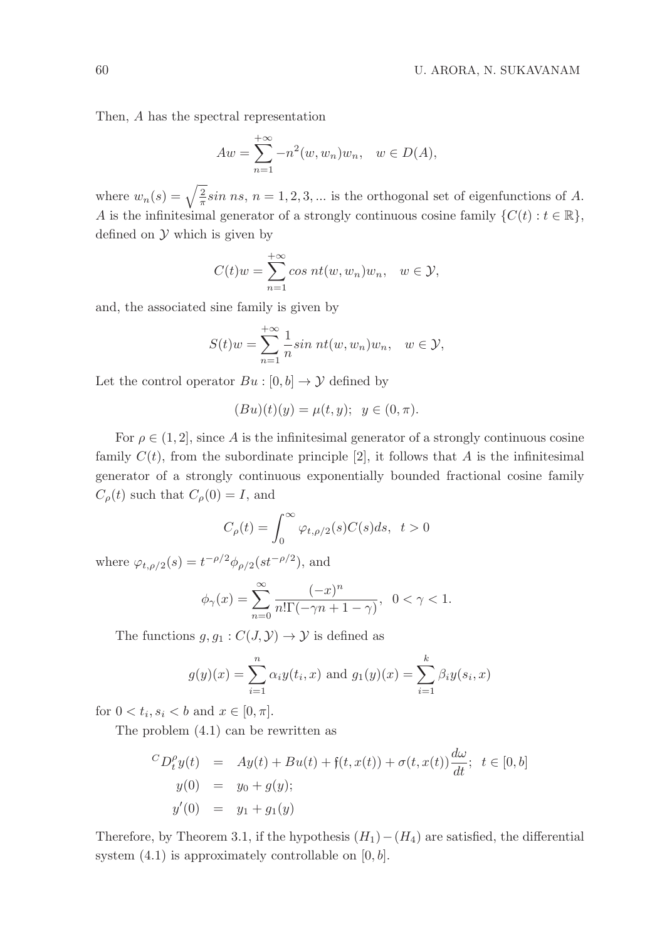Then, A has the spectral representation

$$
Aw = \sum_{n=1}^{+\infty} -n^2(w, w_n)w_n, \quad w \in D(A),
$$

where  $w_n(s) = \sqrt{\frac{2}{\pi}} \sin ns$ ,  $n = 1, 2, 3, ...$  is the orthogonal set of eigenfunctions of A. A is the infinitesimal generator of a strongly continuous cosine family  $\{C(t): t \in \mathbb{R}\},$ defined on  $\mathcal Y$  which is given by

$$
C(t)w = \sum_{n=1}^{+\infty} \cos nt(w, w_n)w_n, \quad w \in \mathcal{Y},
$$

and, the associated sine family is given by

$$
S(t)w = \sum_{n=1}^{+\infty} \frac{1}{n} \sin nt(w, w_n)w_n, \quad w \in \mathcal{Y},
$$

Let the control operator  $Bu : [0, b] \rightarrow \mathcal{Y}$  defined by

$$
(Bu)(t)(y) = \mu(t, y); \ \ y \in (0, \pi).
$$

For  $\rho \in (1, 2]$ , since A is the infinitesimal generator of a strongly continuous cosine family  $C(t)$ , from the subordinate principle [2], it follows that A is the infinitesimal generator of a strongly continuous exponentially bounded fractional cosine family  $C_{\rho}(t)$  such that  $C_{\rho}(0) = I$ , and

$$
C_{\rho}(t) = \int_0^{\infty} \varphi_{t,\rho/2}(s) C(s) ds, \ t > 0
$$

where  $\varphi_{t,\rho/2}(s) = t^{-\rho/2} \phi_{\rho/2}(st^{-\rho/2}),$  and

$$
\phi_{\gamma}(x) = \sum_{n=0}^{\infty} \frac{(-x)^n}{n! \Gamma(-\gamma n + 1 - \gamma)}, \ \ 0 < \gamma < 1.
$$

The functions  $g, g_1 : C(J, Y) \to Y$  is defined as

$$
g(y)(x) = \sum_{i=1}^{n} \alpha_i y(t_i, x)
$$
 and  $g_1(y)(x) = \sum_{i=1}^{k} \beta_i y(s_i, x)$ 

for  $0 < t_i, s_i < b$  and  $x \in [0, \pi]$ .

The problem (4.1) can be rewritten as

$$
{}^{C}D_{t}^{\rho}y(t) = Ay(t) + Bu(t) + \mathfrak{f}(t, x(t)) + \sigma(t, x(t))\frac{d\omega}{dt}; \ t \in [0, b]
$$
  

$$
y(0) = y_{0} + g(y);
$$
  

$$
y'(0) = y_{1} + g_{1}(y)
$$

Therefore, by Theorem 3.1, if the hypothesis  $(H_1) - (H_4)$  are satisfied, the differential system  $(4.1)$  is approximately controllable on  $[0, b]$ .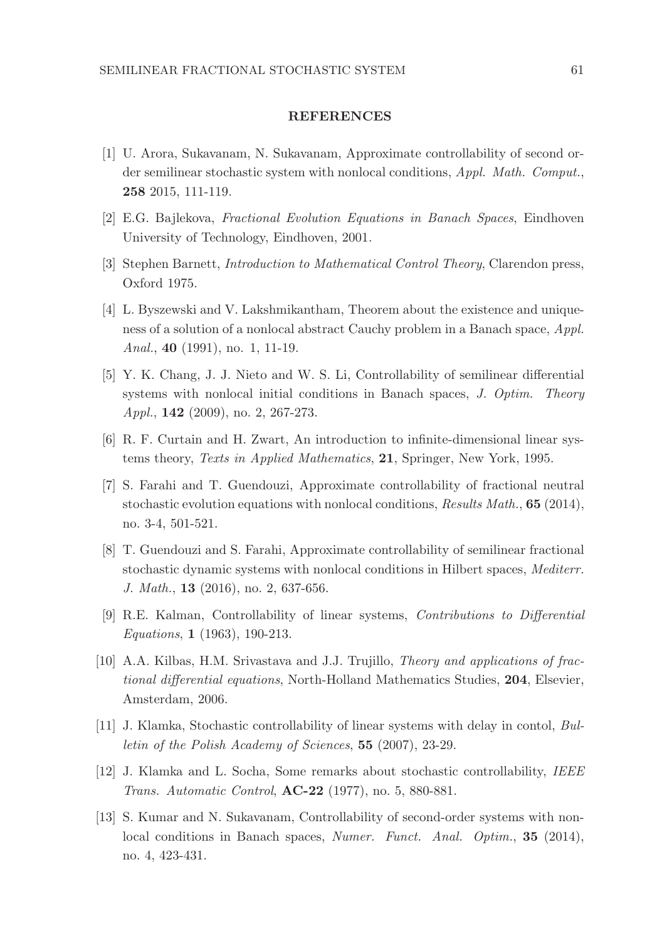### REFERENCES

- [1] U. Arora, Sukavanam, N. Sukavanam, Approximate controllability of second order semilinear stochastic system with nonlocal conditions, Appl. Math. Comput., 258 2015, 111-119.
- [2] E.G. Bajlekova, Fractional Evolution Equations in Banach Spaces, Eindhoven University of Technology, Eindhoven, 2001.
- [3] Stephen Barnett, Introduction to Mathematical Control Theory, Clarendon press, Oxford 1975.
- [4] L. Byszewski and V. Lakshmikantham, Theorem about the existence and uniqueness of a solution of a nonlocal abstract Cauchy problem in a Banach space, Appl. Anal., 40 (1991), no. 1, 11-19.
- [5] Y. K. Chang, J. J. Nieto and W. S. Li, Controllability of semilinear differential systems with nonlocal initial conditions in Banach spaces, J. Optim. Theory Appl., 142 (2009), no. 2, 267-273.
- [6] R. F. Curtain and H. Zwart, An introduction to infinite-dimensional linear systems theory, Texts in Applied Mathematics, 21, Springer, New York, 1995.
- [7] S. Farahi and T. Guendouzi, Approximate controllability of fractional neutral stochastic evolution equations with nonlocal conditions, Results Math., 65 (2014), no. 3-4, 501-521.
- [8] T. Guendouzi and S. Farahi, Approximate controllability of semilinear fractional stochastic dynamic systems with nonlocal conditions in Hilbert spaces, Mediterr. J. Math., 13 (2016), no. 2, 637-656.
- [9] R.E. Kalman, Controllability of linear systems, Contributions to Differential Equations, 1 (1963), 190-213.
- [10] A.A. Kilbas, H.M. Srivastava and J.J. Trujillo, Theory and applications of fractional differential equations, North-Holland Mathematics Studies, 204, Elsevier, Amsterdam, 2006.
- [11] J. Klamka, Stochastic controllability of linear systems with delay in contol, Bulletin of the Polish Academy of Sciences, 55 (2007), 23-29.
- [12] J. Klamka and L. Socha, Some remarks about stochastic controllability, IEEE Trans. Automatic Control, AC-22 (1977), no. 5, 880-881.
- [13] S. Kumar and N. Sukavanam, Controllability of second-order systems with nonlocal conditions in Banach spaces, Numer. Funct. Anal. Optim., 35 (2014), no. 4, 423-431.